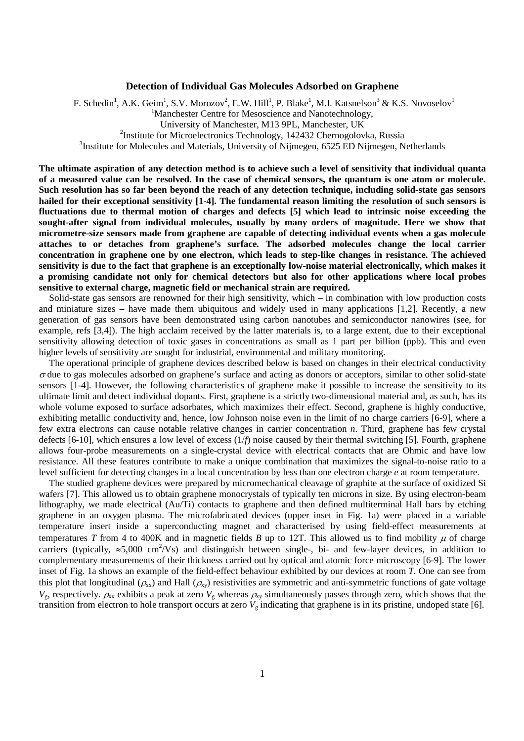# **Detection of Individual Gas Molecules Adsorbed on Graphene**

F. Schedin<sup>1</sup>, A.K. Geim<sup>1</sup>, S.V. Morozov<sup>2</sup>, E.W. Hill<sup>1</sup>, P. Blake<sup>1</sup>, M.I. Katsnelson<sup>3</sup> & K.S. Novoselov<sup>1</sup> <sup>1</sup>Manchester Centre for Mesoscience and Nanotechnology, University of Manchester, M13 9PL, Manchester, UK <sup>2</sup>Institute for Microelectronics Technology, 142432 Chernogolovka, Russia <sup>3</sup>Institute for Molecules and Materials, University of Nijmegen, 6525 ED Nijmegen, Netherlands

**The ultimate aspiration of any detection method is to achieve such a level of sensitivity that individual quanta of a measured value can be resolved. In the case of chemical sensors, the quantum is one atom or molecule. Such resolution has so far been beyond the reach of any detection technique, including solid-state gas sensors hailed for their exceptional sensitivity [1-4]. The fundamental reason limiting the resolution of such sensors is fluctuations due to thermal motion of charges and defects [5] which lead to intrinsic noise exceeding the sought-after signal from individual molecules, usually by many orders of magnitude. Here we show that micrometre-size sensors made from graphene are capable of detecting individual events when a gas molecule attaches to or detaches from graphene's surface. The adsorbed molecules change the local carrier concentration in graphene one by one electron, which leads to step-like changes in resistance. The achieved sensitivity is due to the fact that graphene is an exceptionally low-noise material electronically, which makes it a promising candidate not only for chemical detectors but also for other applications where local probes sensitive to external charge, magnetic field or mechanical strain are required.** 

Solid-state gas sensors are renowned for their high sensitivity, which – in combination with low production costs and miniature sizes – have made them ubiquitous and widely used in many applications [1,2]. Recently, a new generation of gas sensors have been demonstrated using carbon nanotubes and semiconductor nanowires (see, for example, refs [3,4]). The high acclaim received by the latter materials is, to a large extent, due to their exceptional sensitivity allowing detection of toxic gases in concentrations as small as 1 part per billion (ppb). This and even higher levels of sensitivity are sought for industrial, environmental and military monitoring.

The operational principle of graphene devices described below is based on changes in their electrical conductivity  $\sigma$  due to gas molecules adsorbed on graphene's surface and acting as donors or acceptors, similar to other solid-state sensors [1-4]. However, the following characteristics of graphene make it possible to increase the sensitivity to its ultimate limit and detect individual dopants. First, graphene is a strictly two-dimensional material and, as such, has its whole volume exposed to surface adsorbates, which maximizes their effect. Second, graphene is highly conductive, exhibiting metallic conductivity and, hence, low Johnson noise even in the limit of no charge carriers [6-9], where a few extra electrons can cause notable relative changes in carrier concentration *n*. Third, graphene has few crystal defects [6-10], which ensures a low level of excess (1/*f*) noise caused by their thermal switching [5]. Fourth, graphene allows four-probe measurements on a single-crystal device with electrical contacts that are Ohmic and have low resistance. All these features contribute to make a unique combination that maximizes the signal-to-noise ratio to a level sufficient for detecting changes in a local concentration by less than one electron charge *e* at room temperature.

The studied graphene devices were prepared by micromechanical cleavage of graphite at the surface of oxidized Si wafers [7]. This allowed us to obtain graphene monocrystals of typically ten microns in size. By using electron-beam lithography, we made electrical (Au/Ti) contacts to graphene and then defined multiterminal Hall bars by etching graphene in an oxygen plasma. The microfabricated devices (upper inset in Fig. 1a) were placed in a variable temperature insert inside a superconducting magnet and characterised by using field-effect measurements at temperatures *T* from 4 to 400K and in magnetic fields *B* up to 12T. This allowed us to find mobility  $\mu$  of charge carriers (typically,  $\approx$ 5,000 cm<sup>2</sup>/Vs) and distinguish between single-, bi- and few-layer devices, in addition to complementary measurements of their thickness carried out by optical and atomic force microscopy [6-9]. The lower inset of Fig. 1a shows an example of the field-effect behaviour exhibited by our devices at room *T*. One can see from this plot that longitudinal ( $\rho_{xx}$ ) and Hall ( $\rho_{xy}$ ) resistivities are symmetric and anti-symmetric functions of gate voltage  $V_g$ , respectively.  $\rho_{xx}$  exhibits a peak at zero  $V_g$  whereas  $\rho_{xy}$  simultaneously passes through zero, which shows that the transition from electron to hole transport occurs at zero  $V_g$  indicating that graphene is in its pristine, undoped state [6].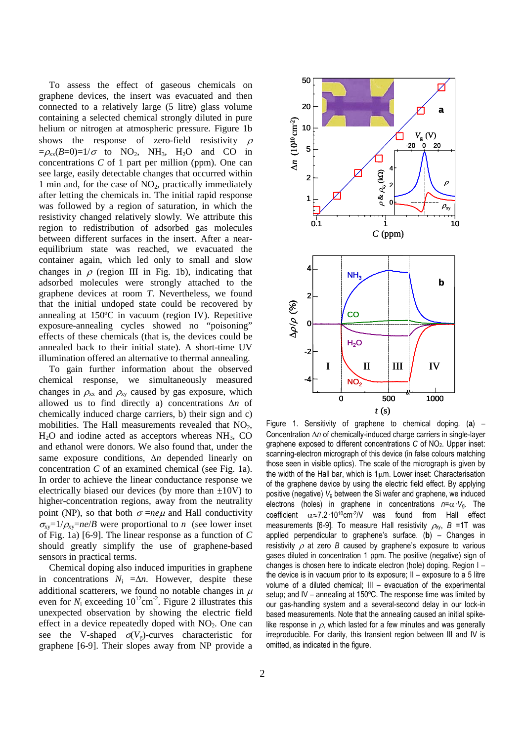To assess the effect of gaseous chemicals on graphene devices, the insert was evacuated and then connected to a relatively large (5 litre) glass volume containing a selected chemical strongly diluted in pure helium or nitrogen at atmospheric pressure. Figure 1b shows the response of zero-field resistivity  $\rho$  $=\rho_{xx}(B=0)=1/\sigma$  to NO<sub>2</sub>, NH<sub>3</sub>, H<sub>2</sub>O and CO in concentrations *C* of 1 part per million (ppm). One can see large, easily detectable changes that occurred within 1 min and, for the case of  $NO<sub>2</sub>$ , practically immediately after letting the chemicals in. The initial rapid response was followed by a region of saturation, in which the resistivity changed relatively slowly. We attribute this region to redistribution of adsorbed gas molecules between different surfaces in the insert. After a nearequilibrium state was reached, we evacuated the container again, which led only to small and slow changes in  $\rho$  (region III in Fig. 1b), indicating that adsorbed molecules were strongly attached to the graphene devices at room *T*. Nevertheless, we found that the initial undoped state could be recovered by annealing at 150ºC in vacuum (region IV). Repetitive exposure-annealing cycles showed no "poisoning" effects of these chemicals (that is, the devices could be annealed back to their initial state). A short-time UV illumination offered an alternative to thermal annealing.

To gain further information about the observed chemical response, we simultaneously measured changes in  $\rho_{xx}$  and  $\rho_{xy}$  caused by gas exposure, which allowed us to find directly a) concentrations ∆*n* of chemically induced charge carriers, b) their sign and c) mobilities. The Hall measurements revealed that  $NO<sub>2</sub>$ ,  $H<sub>2</sub>O$  and iodine acted as acceptors whereas  $NH<sub>3</sub>$ , CO and ethanol were donors. We also found that, under the same exposure conditions, ∆*n* depended linearly on concentration *C* of an examined chemical (see Fig. 1a). In order to achieve the linear conductance response we electrically biased our devices (by more than  $\pm 10V$ ) to higher-concentration regions, away from the neutrality point (NP), so that both  $\sigma = ne\mu$  and Hall conductivity  $\sigma_{xy} = 1/\rho_{xy} = ne/B$  were proportional to *n* (see lower inset of Fig. 1a) [6-9]. The linear response as a function of *C* should greatly simplify the use of graphene-based sensors in practical terms.

Chemical doping also induced impurities in graphene in concentrations  $N_i = \Delta n$ . However, despite these additional scatterers, we found no notable changes in  $\mu$ even for  $N_i$  exceeding  $10^{12}$ cm<sup>-2</sup>. Figure 2 illustrates this unexpected observation by showing the electric field effect in a device repeatedly doped with  $NO<sub>2</sub>$ . One can see the V-shaped  $\sigma(V_{\rm g})$ -curves characteristic for graphene [6-9]. Their slopes away from NP provide a



Figure 1. Sensitivity of graphene to chemical doping. (**a**) – Concentration ∆*n* of chemically-induced charge carriers in single-layer graphene exposed to different concentrations *C* of NO<sub>2</sub>. Upper inset: scanning-electron micrograph of this device (in false colours matching those seen in visible optics). The scale of the micrograph is given by the width of the Hall bar, which is 1µm. Lower inset: Characterisation of the graphene device by using the electric field effect. By applying positive (negative)  $V<sub>q</sub>$  between the Si wafer and graphene, we induced electrons (holes) in graphene in concentrations *n*=α·*V*g. The coefficient α≈7.2·1010cm-2/V was found from Hall effect measurements [6-9]. To measure Hall resistivity  $\rho_{xy}$ ,  $B = 1T$  was applied perpendicular to graphene's surface. (**b**) – Changes in resistivity <sup>ρ</sup> at zero *B* caused by graphene's exposure to various gases diluted in concentration 1 ppm. The positive (negative) sign of changes is chosen here to indicate electron (hole) doping. Region I – the device is in vacuum prior to its exposure; II – exposure to a 5 litre volume of a diluted chemical; III – evacuation of the experimental setup; and IV – annealing at 150ºC. The response time was limited by our gas-handling system and a several-second delay in our lock-in based measurements. Note that the annealing caused an initial spikelike response in  $\rho$ , which lasted for a few minutes and was generally irreproducible. For clarity, this transient region between III and IV is omitted, as indicated in the figure.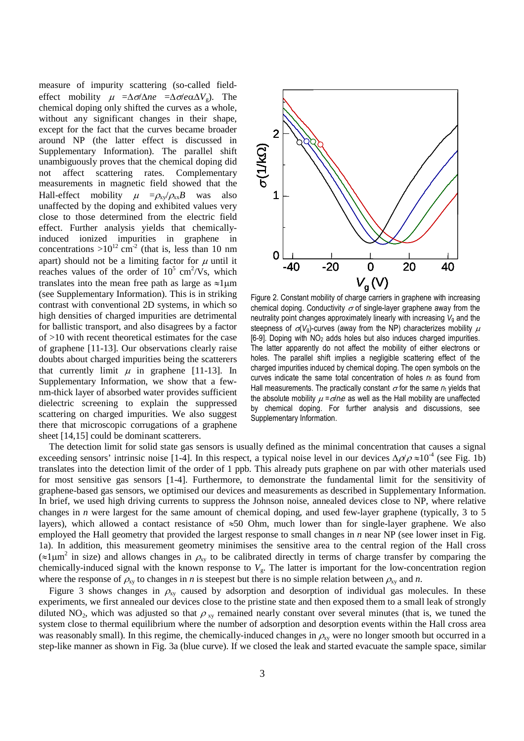measure of impurity scattering (so-called fieldeffect mobility  $\mu =\Delta \sigma / \Delta ne =\Delta \sigma / e \alpha \Delta V_g$ . The chemical doping only shifted the curves as a whole, without any significant changes in their shape, except for the fact that the curves became broader around NP (the latter effect is discussed in Supplementary Information). The parallel shift unambiguously proves that the chemical doping did not affect scattering rates. Complementary measurements in magnetic field showed that the Hall-effect mobility  $\mu = \rho_{xy}/\rho_{xx}B$  was also unaffected by the doping and exhibited values very close to those determined from the electric field effect. Further analysis yields that chemicallyinduced ionized impurities in graphene in concentrations  $>10^{12}$  cm<sup>-2</sup> (that is, less than 10 nm apart) should not be a limiting factor for  $\mu$  until it reaches values of the order of  $10^5$  cm<sup>2</sup>/Vs, which translates into the mean free path as large as  $\approx$ 1µm (see Supplementary Information). This is in striking contrast with conventional 2D systems, in which so high densities of charged impurities are detrimental for ballistic transport, and also disagrees by a factor of >10 with recent theoretical estimates for the case of graphene [11-13]. Our observations clearly raise doubts about charged impurities being the scatterers that currently limit  $\mu$  in graphene [11-13]. In Supplementary Information, we show that a fewnm-thick layer of absorbed water provides sufficient dielectric screening to explain the suppressed scattering on charged impurities. We also suggest there that microscopic corrugations of a graphene sheet [14,15] could be dominant scatterers.



Figure 2. Constant mobility of charge carriers in graphene with increasing chemical doping. Conductivity  $\sigma$  of single-layer graphene away from the neutrality point changes approximately linearly with increasing  $V<sub>g</sub>$  and the steepness of  $\sigma(V_0)$ -curves (away from the NP) characterizes mobility  $\mu$ [6-9]. Doping with NO2 adds holes but also induces charged impurities. The latter apparently do not affect the mobility of either electrons or holes. The parallel shift implies a negligible scattering effect of the charged impurities induced by chemical doping. The open symbols on the curves indicate the same total concentration of holes  $n<sub>i</sub>$  as found from Hall measurements. The practically constant  $\sigma$  for the same  $n_i$  yields that the absolute mobility  $u = \sigma/ne$  as well as the Hall mobility are unaffected by chemical doping. For further analysis and discussions, see Supplementary Information.

The detection limit for solid state gas sensors is usually defined as the minimal concentration that causes a signal exceeding sensors' intrinsic noise [1-4]. In this respect, a typical noise level in our devices  $\Delta \rho / \rho \approx 10^{-4}$  (see Fig. 1b) translates into the detection limit of the order of 1 ppb. This already puts graphene on par with other materials used for most sensitive gas sensors [1-4]. Furthermore, to demonstrate the fundamental limit for the sensitivity of graphene-based gas sensors, we optimised our devices and measurements as described in Supplementary Information. In brief, we used high driving currents to suppress the Johnson noise, annealed devices close to NP, where relative changes in *n* were largest for the same amount of chemical doping, and used few-layer graphene (typically, 3 to 5 layers), which allowed a contact resistance of  $\approx 50$  Ohm, much lower than for single-layer graphene. We also employed the Hall geometry that provided the largest response to small changes in *n* near NP (see lower inset in Fig. 1a). In addition, this measurement geometry minimises the sensitive area to the central region of the Hall cross  $(\approx 1 \mu m^2)$  in size) and allows changes in  $\rho_{xy}$  to be calibrated directly in terms of charge transfer by comparing the chemically-induced signal with the known response to *V*g. The latter is important for the low-concentration region where the response of  $\rho_{xy}$  to changes in *n* is steepest but there is no simple relation between  $\rho_{xy}$  and *n*.

Figure 3 shows changes in  $\rho_{xy}$  caused by adsorption and desorption of individual gas molecules. In these experiments, we first annealed our devices close to the pristine state and then exposed them to a small leak of strongly diluted NO<sub>2</sub>, which was adjusted so that  $\rho_{xy}$  remained nearly constant over several minutes (that is, we tuned the system close to thermal equilibrium where the number of adsorption and desorption events within the Hall cross area was reasonably small). In this regime, the chemically-induced changes in  $\rho_{xy}$  were no longer smooth but occurred in a step-like manner as shown in Fig. 3a (blue curve). If we closed the leak and started evacuate the sample space, similar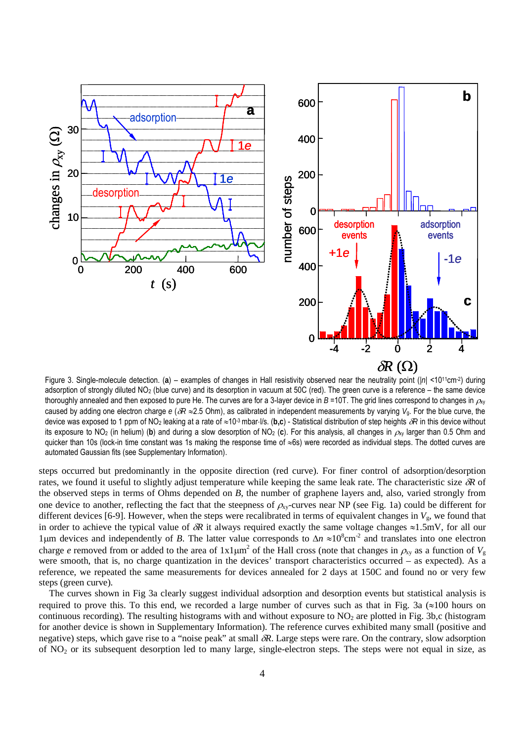

Figure 3. Single-molecule detection. (**a**) – examples of changes in Hall resistivity observed near the neutrality point (|*n*| <1011cm-2) during adsorption of strongly diluted NO2 (blue curve) and its desorption in vacuum at 50C (red). The green curve is a reference – the same device thoroughly annealed and then exposed to pure He. The curves are for a 3-layer device in *B* =10T. The grid lines correspond to changes in  $ρ<sub>xy</sub>$ caused by adding one electron charge  $e$  ( $\delta R \approx 2.5$  Ohm), as calibrated in independent measurements by varying  $V_4$ . For the blue curve, the device was exposed to 1 ppm of NO2 leaking at a rate of ≈10-3 mbar⋅l/s. (**b,c**) - Statistical distribution of step heights δ*R* in this device without its exposure to NO<sub>2</sub> (in helium) (b) and during a slow desorption of NO<sub>2</sub> (c). For this analysis, all changes in  $\rho_N$  larger than 0.5 Ohm and quicker than 10s (lock-in time constant was 1s making the response time of ≈6s) were recorded as individual steps. The dotted curves are automated Gaussian fits (see Supplementary Information).

steps occurred but predominantly in the opposite direction (red curve). For finer control of adsorption/desorption rates, we found it useful to slightly adjust temperature while keeping the same leak rate. The characteristic size δ*R* of the observed steps in terms of Ohms depended on *B*, the number of graphene layers and, also, varied strongly from one device to another, reflecting the fact that the steepness of  $\rho_{xy}$ -curves near NP (see Fig. 1a) could be different for different devices [6-9]. However, when the steps were recalibrated in terms of equivalent changes in  $V_g$ , we found that in order to achieve the typical value of  $\delta R$  it always required exactly the same voltage changes  $\approx 1.5 \text{mV}$ , for all our 1μm devices and independently of *B*. The latter value corresponds to Δ*n* ≈10<sup>8</sup>cm<sup>-2</sup> and translates into one electron charge *e* removed from or added to the area of  $1x1\mu m^2$  of the Hall cross (note that changes in  $\rho_{xy}$  as a function of  $V_g$ were smooth, that is, no charge quantization in the devices' transport characteristics occurred – as expected). As a reference, we repeated the same measurements for devices annealed for 2 days at 150C and found no or very few steps (green curve).

The curves shown in Fig 3a clearly suggest individual adsorption and desorption events but statistical analysis is required to prove this. To this end, we recorded a large number of curves such as that in Fig. 3a ( $\approx 100$  hours on continuous recording). The resulting histograms with and without exposure to  $NO<sub>2</sub>$  are plotted in Fig. 3b,c (histogram for another device is shown in Supplementary Information). The reference curves exhibited many small (positive and negative) steps, which gave rise to a "noise peak" at small δ*R*. Large steps were rare. On the contrary, slow adsorption of NO2 or its subsequent desorption led to many large, single-electron steps. The steps were not equal in size, as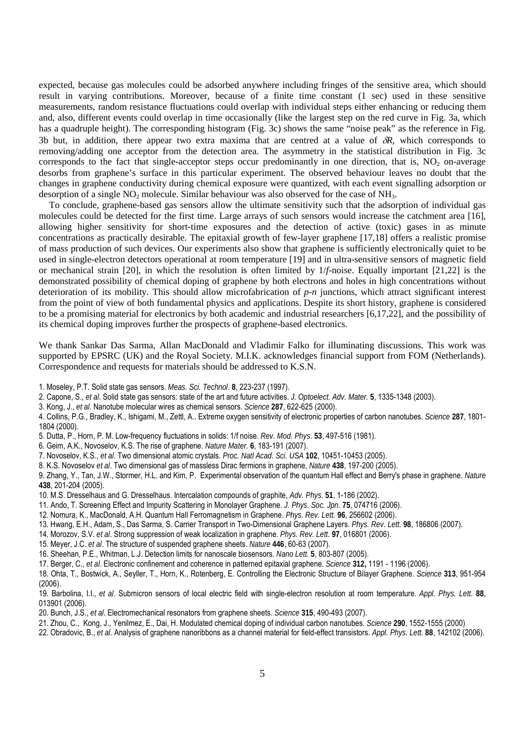expected, because gas molecules could be adsorbed anywhere including fringes of the sensitive area, which should result in varying contributions. Moreover, because of a finite time constant (1 sec) used in these sensitive measurements, random resistance fluctuations could overlap with individual steps either enhancing or reducing them and, also, different events could overlap in time occasionally (like the largest step on the red curve in Fig. 3a, which has a quadruple height). The corresponding histogram (Fig. 3c) shows the same "noise peak" as the reference in Fig. 3b but, in addition, there appear two extra maxima that are centred at a value of δ*R*, which corresponds to removing/adding one acceptor from the detection area. The asymmetry in the statistical distribution in Fig. 3c corresponds to the fact that single-acceptor steps occur predominantly in one direction, that is,  $NO<sub>2</sub>$  on-average desorbs from graphene's surface in this particular experiment. The observed behaviour leaves no doubt that the changes in graphene conductivity during chemical exposure were quantized, with each event signalling adsorption or desorption of a single  $NO<sub>2</sub>$  molecule. Similar behaviour was also observed for the case of  $NH<sub>3</sub>$ .

To conclude, graphene-based gas sensors allow the ultimate sensitivity such that the adsorption of individual gas molecules could be detected for the first time. Large arrays of such sensors would increase the catchment area [16], allowing higher sensitivity for short-time exposures and the detection of active (toxic) gases in as minute concentrations as practically desirable. The epitaxial growth of few-layer graphene [17,18] offers a realistic promise of mass production of such devices. Our experiments also show that graphene is sufficiently electronically quiet to be used in single-electron detectors operational at room temperature [19] and in ultra-sensitive sensors of magnetic field or mechanical strain [20], in which the resolution is often limited by 1/*f*-noise. Equally important [21,22] is the demonstrated possibility of chemical doping of graphene by both electrons and holes in high concentrations without deterioration of its mobility. This should allow microfabrication of *p*-*n* junctions, which attract significant interest from the point of view of both fundamental physics and applications. Despite its short history, graphene is considered to be a promising material for electronics by both academic and industrial researchers [6,17,22], and the possibility of its chemical doping improves further the prospects of graphene-based electronics.

We thank Sankar Das Sarma, Allan MacDonald and Vladimir Falko for illuminating discussions. This work was supported by EPSRC (UK) and the Royal Society. M.I.K. acknowledges financial support from FOM (Netherlands). Correspondence and requests for materials should be addressed to K.S.N.

- 1. Moseley, P.T. Solid state gas sensors. *Meas. Sci. Technol*. **8**, 223-237 (1997).
- 2. Capone, S., *et al*. Solid state gas sensors: state of the art and future activities. *J. Optoelect. Adv. Mater.* **5**, 1335-1348 (2003).
- 3. Kong, J., *et al*. Nanotube molecular wires as chemical sensors. *Science* **287**, 622-625 (2000).
- 4. Collins, P.G., Bradley, K., Ishigami, M., Zettl, A.. Extreme oxygen sensitivity of electronic properties of carbon nanotubes. *Science* **287**, 1801- 1804 (2000).
- 5. Dutta, P., Horn, P. M. Low-frequency fluctuations in solids: 1/f noise. *Rev. Mod. Phys*. **53**, 497-516 (1981).
- 6. Geim, A.K., Novoselov, K.S. The rise of graphene. *Nature Mater.* **6**, 183-191 (2007).
- 7. Novoselov, K.S., *et al*. Two dimensional atomic crystals. *Proc. Natl Acad. Sci. USA* **102**, 10451-10453 (2005).
- 8. K.S. Novoselov *et al*. Two dimensional gas of massless Dirac fermions in graphene, *Nature* **438**, 197-200 (2005).
- 9. Zhang, Y., Tan, J.W., Stormer, H.L. and Kim, P. Experimental observation of the quantum Hall effect and Berry's phase in graphene. *Nature* **438**, 201-204 (2005).
- 10. M.S. Dresselhaus and G. Dresselhaus. Intercalation compounds of graphite, *Adv. Phys*. **51**, 1-186 (2002).
- 11. Ando, T. Screening Effect and Impurity Scattering in Monolayer Graphene. *J. Phys. Soc. Jpn.* **75**, 074716 (2006).
- 12. Nomura, K., MacDonald, A.H. Quantum Hall Ferromagnetism in Graphene. *Phys. Rev. Lett.* **96**, 256602 (2006).
- 13. Hwang, E.H., Adam, S., Das Sarma, S. Carrier Transport in Two-Dimensional Graphene Layers. *Phys. Rev. Lett.* **98**, 186806 (2007).
- 14. Morozov, S.V. *et al*. Strong suppression of weak localization in graphene. *Phys. Rev. Lett.* **97**, 016801 (2006).
- 15. Meyer, J.C. *et al*. The structure of suspended graphene sheets. *Nature* **446**, 60-63 (2007).
- 16. Sheehan, P.E., Whitman, L.J. Detection limits for nanoscale biosensors. *Nano Lett.* **5**, 803-807 (2005).

17. Berger, C., *et al*. Electronic confinement and coherence in patterned epitaxial graphene. *Science* **312,** 1191 - 1196 (2006).

- 18. Ohta, T., Bostwick, A., Seyller, T., Horn, K., Rotenberg, E. Controlling the Electronic Structure of Bilayer Graphene. *Science* **313**, 951-954 (2006).
- 19. Barbolina, I.I., *et al*. Submicron sensors of local electric field with single-electron resolution at room temperature. *Appl. Phys. Lett.* **88**, 013901 (2006).
- 20. Bunch, J.S., *et al*. Electromechanical resonators from graphene sheets. *Science* **315**, 490-493 (2007).
- 21. Zhou, C., Kong, J., Yenilmez, E., Dai, H. Modulated chemical doping of individual carbon nanotubes. *Science* **290**, 1552-1555 (2000)
- 22. Obradovic, B., *et al*. Analysis of graphene nanoribbons as a channel material for field-effect transistors. *Appl. Phys. Lett.* **88**, 142102 (2006).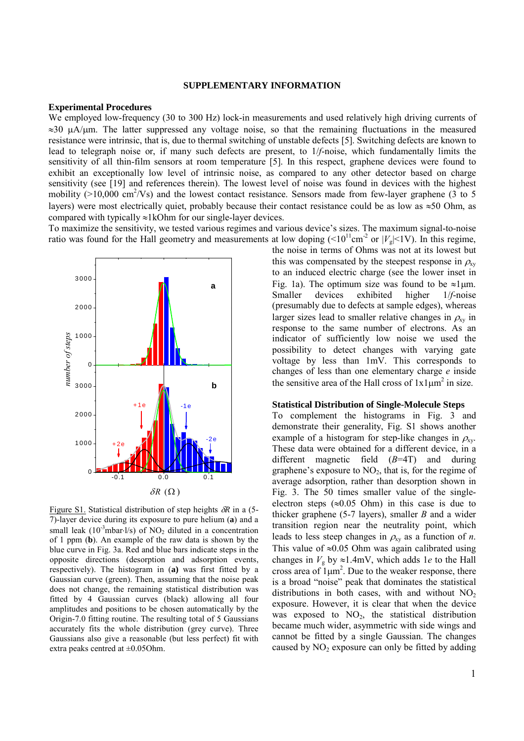## **SUPPLEMENTARY INFORMATION**

#### **Experimental Procedures**

We employed low-frequency (30 to 300 Hz) lock-in measurements and used relatively high driving currents of  $\approx$ 30  $\mu$ A/ $\mu$ m. The latter suppressed any voltage noise, so that the remaining fluctuations in the measured resistance were intrinsic, that is, due to thermal switching of unstable defects [5]. Switching defects are known to lead to telegraph noise or, if many such defects are present, to 1/*f*-noise, which fundamentally limits the sensitivity of all thin-film sensors at room temperature [5]. In this respect, graphene devices were found to exhibit an exceptionally low level of intrinsic noise, as compared to any other detector based on charge sensitivity (see [19] and references therein). The lowest level of noise was found in devices with the highest mobility  $(>10,000 \text{ cm}^2/\text{Vs})$  and the lowest contact resistance. Sensors made from few-layer graphene (3 to 5 layers) were most electrically quiet, probably because their contact resistance could be as low as  $\approx$ 50 Ohm, as compared with typically ≈1kOhm for our single-layer devices.

To maximize the sensitivity, we tested various regimes and various device's sizes. The maximum signal-to-noise ratio was found for the Hall geometry and measurements at low doping  $(<10^{11}cm^{-2}$  or  $|V_g|<1$ V). In this regime,



Figure S1. Statistical distribution of step heights δ*R* in a (5- 7)-layer device during its exposure to pure helium (**a**) and a small leak (10<sup>-3</sup>mbar⋅l/s) of NO<sub>2</sub> diluted in a concentration of 1 ppm (**b**). An example of the raw data is shown by the blue curve in Fig. 3a. Red and blue bars indicate steps in the opposite directions (desorption and adsorption events, respectively). The histogram in (**a)** was first fitted by a Gaussian curve (green). Then, assuming that the noise peak does not change, the remaining statistical distribution was fitted by 4 Gaussian curves (black) allowing all four amplitudes and positions to be chosen automatically by the Origin-7.0 fitting routine. The resulting total of 5 Gaussians accurately fits the whole distribution (grey curve). Three Gaussians also give a reasonable (but less perfect) fit with extra peaks centred at ±0.05Ohm.

the noise in terms of Ohms was not at its lowest but this was compensated by the steepest response in  $\rho_{xy}$ to an induced electric charge (see the lower inset in Fig. 1a). The optimum size was found to be  $\approx$ 1µm. Smaller devices exhibited higher 1/*f*-noise (presumably due to defects at sample edges), whereas larger sizes lead to smaller relative changes in  $\rho_{xy}$  in response to the same number of electrons. As an indicator of sufficiently low noise we used the possibility to detect changes with varying gate voltage by less than 1mV. This corresponds to changes of less than one elementary charge *e* inside the sensitive area of the Hall cross of  $1x1\mu m^2$  in size.

#### **Statistical Distribution of Single-Molecule Steps**

To complement the histograms in Fig. 3 and demonstrate their generality, Fig. S1 shows another example of a histogram for step-like changes in  $\rho_{\text{av}}$ . These data were obtained for a different device, in a different magnetic field (*B*=4T) and during graphene's exposure to  $NO<sub>2</sub>$ , that is, for the regime of average adsorption, rather than desorption shown in Fig. 3. The 50 times smaller value of the singleelectron steps ( $\approx 0.05$  Ohm) in this case is due to thicker graphene (5-7 layers), smaller *B* and a wider transition region near the neutrality point, which leads to less steep changes in  $\rho_{xy}$  as a function of *n*. This value of  $\approx 0.05$  Ohm was again calibrated using changes in  $V_g$  by  $\approx$ 1.4mV, which adds 1*e* to the Hall cross area of  $1\mu m^2$ . Due to the weaker response, there is a broad "noise" peak that dominates the statistical distributions in both cases, with and without  $NO<sub>2</sub>$ exposure. However, it is clear that when the device was exposed to  $NO<sub>2</sub>$ , the statistical distribution became much wider, asymmetric with side wings and cannot be fitted by a single Gaussian. The changes caused by  $NO<sub>2</sub>$  exposure can only be fitted by adding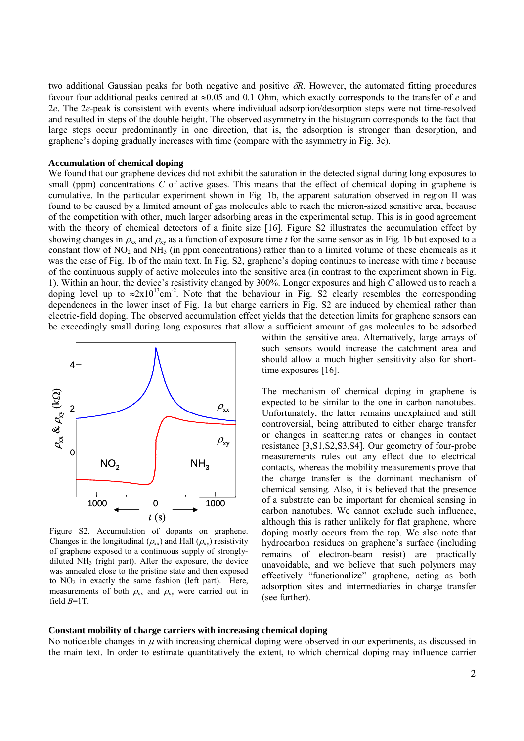two additional Gaussian peaks for both negative and positive δ*R*. However, the automated fitting procedures favour four additional peaks centred at ≈0.05 and 0.1 Ohm, which exactly corresponds to the transfer of *e* and 2*e*. The 2*e*-peak is consistent with events where individual adsorption/desorption steps were not time-resolved and resulted in steps of the double height. The observed asymmetry in the histogram corresponds to the fact that large steps occur predominantly in one direction, that is, the adsorption is stronger than desorption, and graphene's doping gradually increases with time (compare with the asymmetry in Fig. 3c).

## **Accumulation of chemical doping**

We found that our graphene devices did not exhibit the saturation in the detected signal during long exposures to small (ppm) concentrations *C* of active gases. This means that the effect of chemical doping in graphene is cumulative. In the particular experiment shown in Fig. 1b, the apparent saturation observed in region II was found to be caused by a limited amount of gas molecules able to reach the micron-sized sensitive area, because of the competition with other, much larger adsorbing areas in the experimental setup. This is in good agreement with the theory of chemical detectors of a finite size [16]. Figure S2 illustrates the accumulation effect by showing changes in  $\rho_{xx}$  and  $\rho_{xy}$  as a function of exposure time *t* for the same sensor as in Fig. 1b but exposed to a constant flow of  $NO_2$  and  $NH_3$  (in ppm concentrations) rather than to a limited volume of these chemicals as it was the case of Fig. 1b of the main text. In Fig. S2, graphene's doping continues to increase with time *t* because of the continuous supply of active molecules into the sensitive area (in contrast to the experiment shown in Fig. 1). Within an hour, the device's resistivity changed by 300%. Longer exposures and high *C* allowed us to reach a doping level up to  $\approx 2x10^{13}$ cm<sup>-2</sup>. Note that the behaviour in Fig. S2 clearly resembles the corresponding dependences in the lower inset of Fig. 1a but charge carriers in Fig. S2 are induced by chemical rather than electric-field doping. The observed accumulation effect yields that the detection limits for graphene sensors can be exceedingly small during long exposures that allow a sufficient amount of gas molecules to be adsorbed



Figure S2. Accumulation of dopants on graphene. Changes in the longitudinal ( $\rho_{xx}$ ) and Hall ( $\rho_{xy}$ ) resistivity of graphene exposed to a continuous supply of stronglydiluted  $NH<sub>3</sub>$  (right part). After the exposure, the device was annealed close to the pristine state and then exposed to  $NO<sub>2</sub>$  in exactly the same fashion (left part). Here, measurements of both  $\rho_{xx}$  and  $\rho_{xy}$  were carried out in field *B*=1T.

within the sensitive area. Alternatively, large arrays of such sensors would increase the catchment area and should allow a much higher sensitivity also for shorttime exposures [16].

The mechanism of chemical doping in graphene is expected to be similar to the one in carbon nanotubes. Unfortunately, the latter remains unexplained and still controversial, being attributed to either charge transfer or changes in scattering rates or changes in contact resistance [3,S1,S2,S3,S4]. Our geometry of four-probe measurements rules out any effect due to electrical contacts, whereas the mobility measurements prove that the charge transfer is the dominant mechanism of chemical sensing. Also, it is believed that the presence of a substrate can be important for chemical sensing in carbon nanotubes. We cannot exclude such influence, although this is rather unlikely for flat graphene, where doping mostly occurs from the top. We also note that hydrocarbon residues on graphene's surface (including remains of electron-beam resist) are practically unavoidable, and we believe that such polymers may effectively "functionalize" graphene, acting as both adsorption sites and intermediaries in charge transfer (see further).

## **Constant mobility of charge carriers with increasing chemical doping**

No noticeable changes in  $\mu$  with increasing chemical doping were observed in our experiments, as discussed in the main text. In order to estimate quantitatively the extent, to which chemical doping may influence carrier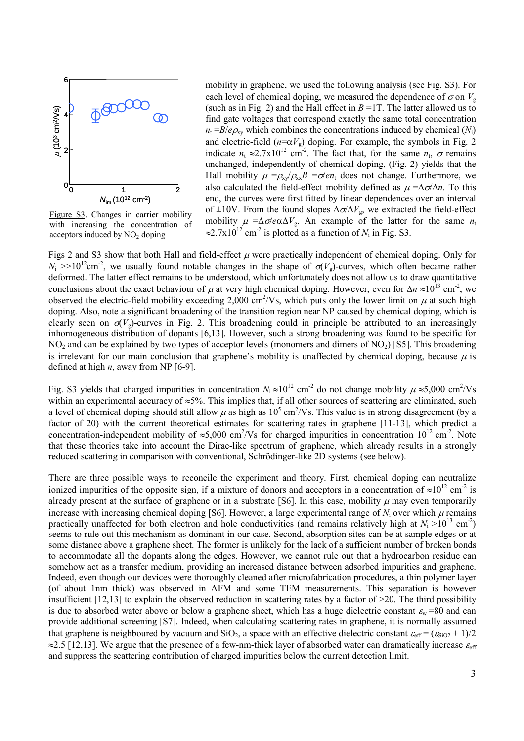

Figure S3. Changes in carrier mobility with increasing the concentration of acceptors induced by  $NO<sub>2</sub>$  doping

mobility in graphene, we used the following analysis (see Fig. S3). For each level of chemical doping, we measured the dependence of  $\sigma$  on  $V_g$ (such as in Fig. 2) and the Hall effect in  $B = 1T$ . The latter allowed us to find gate voltages that correspond exactly the same total concentration  $n_t = B/e \rho_{xy}$  which combines the concentrations induced by chemical (*N*<sub>i</sub>) and electric-field  $(n=\alpha V_g)$  doping. For example, the symbols in Fig. 2 indicate  $n_t \approx 2.7 \times 10^{12}$  cm<sup>-2</sup>. The fact that, for the same  $n_t$ ,  $\sigma$  remains unchanged, independently of chemical doping, (Fig. 2) yields that the Hall mobility  $\mu = \rho_{xy}/\rho_{xx}B = \sigma / en_t$  does not change. Furthermore, we also calculated the field-effect mobility defined as  $\mu = \Delta \sigma / \Delta n$ . To this end, the curves were first fitted by linear dependences over an interval of ±10V. From the found slopes  $\Delta \sigma / \Delta V_g$ , we extracted the field-effect mobility  $\mu = \Delta \sigma \neq \alpha \Delta V_g$ . An example of the latter for the same  $n_t$  $\approx$ 2.7x10<sup>12</sup> cm<sup>-2</sup> is plotted as a function of *N*<sub>i</sub> in Fig. S3.

Figs 2 and S3 show that both Hall and field-effect  $\mu$  were practically independent of chemical doping. Only for  $N_i$  >>10<sup>12</sup>cm<sup>-2</sup>, we usually found notable changes in the shape of  $\sigma(V_g)$ -curves, which often became rather deformed. The latter effect remains to be understood, which unfortunately does not allow us to draw quantitative conclusions about the exact behaviour of  $\mu$  at very high chemical doping. However, even for  $\Delta n \approx 10^{13}$  cm<sup>-2</sup>, we observed the electric-field mobility exceeding 2,000 cm<sup>2</sup>/Vs, which puts only the lower limit on  $\mu$  at such high doping. Also, note a significant broadening of the transition region near NP caused by chemical doping, which is clearly seen on  $\sigma(V_0)$ -curves in Fig. 2. This broadening could in principle be attributed to an increasingly inhomogeneous distribution of dopants [6,13]. However, such a strong broadening was found to be specific for  $NO<sub>2</sub>$  and can be explained by two types of acceptor levels (monomers and dimers of  $NO<sub>2</sub>$ ) [S5]. This broadening is irrelevant for our main conclusion that graphene's mobility is unaffected by chemical doping, because  $\mu$  is defined at high *n*, away from NP [6-9].

Fig. S3 yields that charged impurities in concentration  $N_i \approx 10^{12}$  cm<sup>-2</sup> do not change mobility  $\mu \approx 5,000$  cm<sup>2</sup>/Vs within an experimental accuracy of ≈5%. This implies that, if all other sources of scattering are eliminated, such a level of chemical doping should still allow  $\mu$  as high as  $10^5$  cm<sup>2</sup>/Vs. This value is in strong disagreement (by a factor of 20) with the current theoretical estimates for scattering rates in graphene [11-13], which predict a concentration-independent mobility of  $\approx 5,000$  cm<sup>2</sup>/Vs for charged impurities in concentration  $10^{12}$  cm<sup>-2</sup>. Note that these theories take into account the Dirac-like spectrum of graphene, which already results in a strongly reduced scattering in comparison with conventional, Schrödinger-like 2D systems (see below).

There are three possible ways to reconcile the experiment and theory. First, chemical doping can neutralize ionized impurities of the opposite sign, if a mixture of donors and acceptors in a concentration of  $\approx 10^{12}$  cm<sup>-2</sup> is already present at the surface of graphene or in a substrate [S6]. In this case, mobility  $\mu$  may even temporarily increase with increasing chemical doping [S6]. However, a large experimental range of  $N_i$  over which  $\mu$  remains practically unaffected for both electron and hole conductivities (and remains relatively high at  $N_i > 10^{13}$  cm<sup>-2</sup>) seems to rule out this mechanism as dominant in our case. Second, absorption sites can be at sample edges or at some distance above a graphene sheet. The former is unlikely for the lack of a sufficient number of broken bonds to accommodate all the dopants along the edges. However, we cannot rule out that a hydrocarbon residue can somehow act as a transfer medium, providing an increased distance between adsorbed impurities and graphene. Indeed, even though our devices were thoroughly cleaned after microfabrication procedures, a thin polymer layer (of about 1nm thick) was observed in AFM and some TEM measurements. This separation is however insufficient  $[12,13]$  to explain the observed reduction in scattering rates by a factor of  $>20$ . The third possibility is due to absorbed water above or below a graphene sheet, which has a huge dielectric constant  $\varepsilon_w = 80$  and can provide additional screening [S7]. Indeed, when calculating scattering rates in graphene, it is normally assumed that graphene is neighboured by vacuum and SiO<sub>2</sub>, a space with an effective dielectric constant  $\varepsilon_{\rm eff} = (\varepsilon_{\rm SiO2} + 1)/2$  $\approx$ 2.5 [12,13]. We argue that the presence of a few-nm-thick layer of absorbed water can dramatically increase  $\varepsilon_{eff}$ and suppress the scattering contribution of charged impurities below the current detection limit.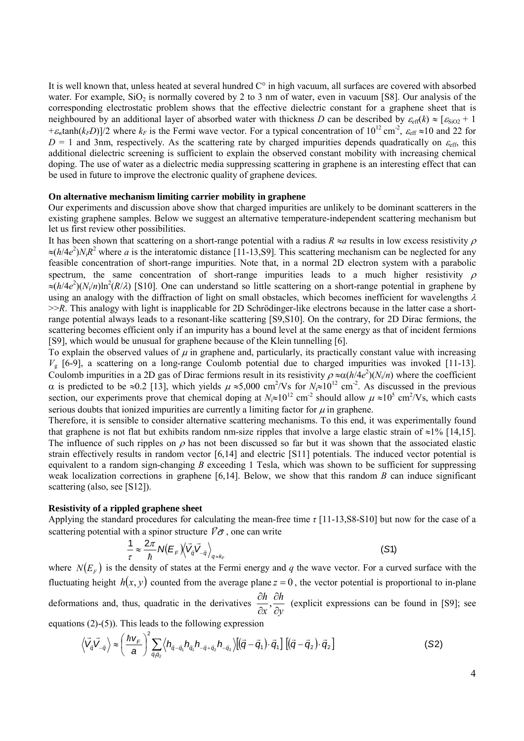It is well known that, unless heated at several hundred C° in high vacuum, all surfaces are covered with absorbed water. For example,  $SiO<sub>2</sub>$  is normally covered by 2 to 3 nm of water, even in vacuum [S8]. Our analysis of the corresponding electrostatic problem shows that the effective dielectric constant for a graphene sheet that is neighboured by an additional layer of absorbed water with thickness *D* can be described by  $\varepsilon_{\text{eff}}(k) \approx [\varepsilon_{\text{SiO2}} + 1]$  $+\varepsilon_{w}\tanh(k_{F}D)/2$  where  $k_{F}$  is the Fermi wave vector. For a typical concentration of  $10^{12}$  cm<sup>-2</sup>,  $\varepsilon_{eff} \approx 10$  and 22 for  $D = 1$  and 3nm, respectively. As the scattering rate by charged impurities depends quadratically on  $\varepsilon_{\text{eff}}$ , this additional dielectric screening is sufficient to explain the observed constant mobility with increasing chemical doping. The use of water as a dielectric media suppressing scattering in graphene is an interesting effect that can be used in future to improve the electronic quality of graphene devices.

#### **On alternative mechanism limiting carrier mobility in graphene**

Our experiments and discussion above show that charged impurities are unlikely to be dominant scatterers in the existing graphene samples. Below we suggest an alternative temperature-independent scattering mechanism but let us first review other possibilities.

It has been shown that scattering on a short-range potential with a radius  $R \approx a$  results in low excess resistivity  $\rho$  $\approx (h/4e^2)N_iR^2$  where *a* is the interatomic distance [11-13, S9]. This scattering mechanism can be neglected for any feasible concentration of short-range impurities. Note that, in a normal 2D electron system with a parabolic spectrum, the same concentration of short-range impurities leads to a much higher resistivity  $\rho$  $\approx (h/4e^2)(N_i/n) \ln^2(R/\lambda)$  [S10]. One can understand so little scattering on a short-range potential in graphene by using an analogy with the diffraction of light on small obstacles, which becomes inefficient for wavelengths  $\lambda$  $>>R$ . This analogy with light is inapplicable for 2D Schrödinger-like electrons because in the latter case a shortrange potential always leads to a resonant-like scattering [S9,S10]. On the contrary, for 2D Dirac fermions, the scattering becomes efficient only if an impurity has a bound level at the same energy as that of incident fermions [S9], which would be unusual for graphene because of the Klein tunnelling [6].

To explain the observed values of  $\mu$  in graphene and, particularly, its practically constant value with increasing  $V<sub>g</sub>$  [6-9], a scattering on a long-range Coulomb potential due to charged impurities was invoked [11-13]. Coulomb impurities in a 2D gas of Dirac fermions result in its resistivity  $\rho \approx \alpha (h/4e^2)(N_i/n)$  where the coefficient  $\alpha$  is predicted to be ≈0.2 [13], which yields  $\mu \approx 5,000$  cm<sup>2</sup>/Vs for  $N_i \approx 10^{12}$  cm<sup>-2</sup>. As discussed in the previous section, our experiments prove that chemical doping at  $N_i \approx 10^{12}$  cm<sup>-2</sup> should allow  $\mu \approx 10^5$  cm<sup>2</sup>/Vs, which casts serious doubts that ionized impurities are currently a limiting factor for  $\mu$  in graphene.

Therefore, it is sensible to consider alternative scattering mechanisms. To this end, it was experimentally found that graphene is not flat but exhibits random nm-size ripples that involve a large elastic strain of ≈1% [14,15]. The influence of such ripples on  $\rho$  has not been discussed so far but it was shown that the associated elastic strain effectively results in random vector [6,14] and electric [S11] potentials. The induced vector potential is equivalent to a random sign-changing *B* exceeding 1 Tesla, which was shown to be sufficient for suppressing weak localization corrections in graphene [6,14]. Below, we show that this random *B* can induce significant scattering (also, see [S12]).

#### **Resistivity of a rippled graphene sheet**

Applying the standard procedures for calculating the mean-free time *τ* [11-13,S8-S10] but now for the case of a scattering potential with a spinor structure  $\vec{V}\vec{\sigma}$ , one can write

$$
\frac{1}{\tau} \approx \frac{2\pi}{\hbar} N(E_{F}) \langle \vec{V}_{\bar{q}} \vec{V}_{-\bar{q}} \rangle_{q \approx k_{F}}
$$
 (S1)

where  $N(E_F)$  is the density of states at the Fermi energy and *q* the wave vector. For a curved surface with the fluctuating height  $h(x, y)$  counted from the average plane  $z = 0$ , the vector potential is proportional to in-plane deformations and, thus, quadratic in the derivatives *y h x h* ∂ ∂ ∂  $\frac{\partial h}{\partial \theta}$ ,  $\frac{\partial h}{\partial \theta}$  (explicit expressions can be found in [S9]; see

equations (2)-(5)). This leads to the following expression

$$
\left\langle \vec{V}_{\vec{q}} \vec{V}_{-\vec{q}} \right\rangle \approx \left( \frac{\hbar v_F}{a} \right)^2 \sum_{\vec{q}, \vec{q}_2} \left\langle h_{\vec{q}-\vec{q}_1} h_{\vec{q}_1} h_{-\vec{q}_1 \cdot \vec{q}_2} h_{-\vec{q}_2} \right\rangle \left[ (\vec{q}-\vec{q}_1) \cdot \vec{q}_1 \right] \left[ (\vec{q}-\vec{q}_2) \cdot \vec{q}_2 \right]
$$
(S2)

4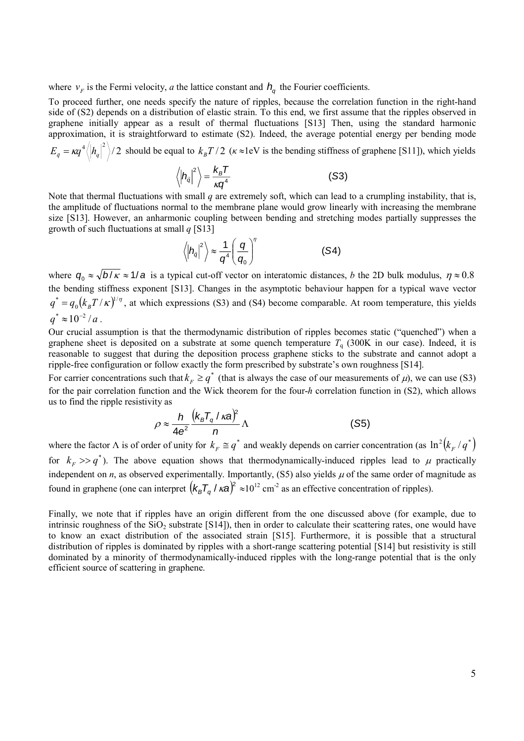where  $v_F$  is the Fermi velocity, *a* the lattice constant and  $h_a$  the Fourier coefficients.

To proceed further, one needs specify the nature of ripples, because the correlation function in the right-hand side of (S2) depends on a distribution of elastic strain. To this end, we first assume that the ripples observed in graphene initially appear as a result of thermal fluctuations [S13] Then, using the standard harmonic approximation, it is straightforward to estimate (S2). Indeed, the average potential energy per bending mode  $E_q = \kappa q^4 \langle |h_q|^2 \rangle$  a should be equal to  $k_B T/2$  ( $\kappa \approx 1$ eV is the bending stiffness of graphene [S11]), which yields

$$
\left\langle \left| h_{\bar{q}} \right|^2 \right\rangle = \frac{k_B T}{\kappa q^4} \tag{S3}
$$

Note that thermal fluctuations with small *q* are extremely soft, which can lead to a crumpling instability, that is, the amplitude of fluctuations normal to the membrane plane would grow linearly with increasing the membrane size [S13]. However, an anharmonic coupling between bending and stretching modes partially suppresses the growth of such fluctuations at small *q* [S13]

$$
\left\langle \left| h_{\bar{q}} \right|^2 \right\rangle \approx \frac{1}{q^4} \left( \frac{q}{q_0} \right)^{\eta}
$$
 (S4)

where  $q_0 \approx \sqrt{b/\kappa} \approx 1/a$  is a typical cut-off vector on interatomic distances, *b* the 2D bulk modulus,  $\eta \approx 0.8$ the bending stiffness exponent [S13]. Changes in the asymptotic behaviour happen for a typical wave vector  $(k_{_B}T/\kappa)^{1/\eta}$  $q^* = q_0 (k_B T / \kappa)^{1/\eta}$ , at which expressions (S3) and (S4) become comparable. At room temperature, this yields  $q^* \approx 10^{-2} / a$ .

Our crucial assumption is that the thermodynamic distribution of ripples becomes static ("quenched") when a graphene sheet is deposited on a substrate at some quench temperature  $T<sub>a</sub>$  (300K in our case). Indeed, it is reasonable to suggest that during the deposition process graphene sticks to the substrate and cannot adopt a ripple-free configuration or follow exactly the form prescribed by substrate's own roughness [S14].

For carrier concentrations such that  $k_F \ge q^*$  (that is always the case of our measurements of  $\mu$ ), we can use (S3) for the pair correlation function and the Wick theorem for the four-*h* correlation function in (S2), which allows us to find the ripple resistivity as

$$
\rho \approx \frac{h}{4e^2} \frac{\left(k_B T_q / \kappa a\right)^2}{n} \Lambda \tag{S5}
$$

where the factor  $\Lambda$  is of order of unity for  $k_F \equiv q^*$  and weakly depends on carrier concentration (as  $\ln^2 (k_F / q^*)$ for  $k_F$   $\gg$   $q^*$ ). The above equation shows that thermodynamically-induced ripples lead to  $\mu$  practically independent on *n*, as observed experimentally. Importantly, (S5) also yields  $\mu$  of the same order of magnitude as found in graphene (one can interpret  $(k_B T_q / \kappa a)^2 \approx 10^{12}$  cm<sup>-2</sup> as an effective concentration of ripples).

Finally, we note that if ripples have an origin different from the one discussed above (for example, due to intrinsic roughness of the  $SiO<sub>2</sub>$  substrate [S14]), then in order to calculate their scattering rates, one would have to know an exact distribution of the associated strain [S15]. Furthermore, it is possible that a structural distribution of ripples is dominated by ripples with a short-range scattering potential [S14] but resistivity is still dominated by a minority of thermodynamically-induced ripples with the long-range potential that is the only efficient source of scattering in graphene.